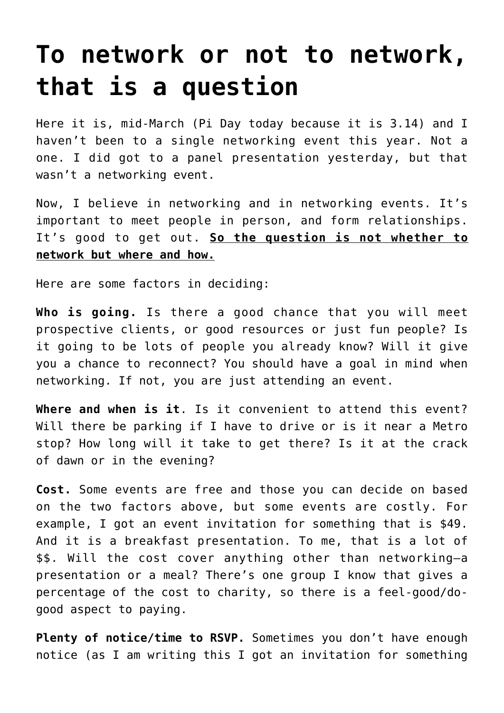## **[To network or not to network,](https://deborahbrody.com/2012/03/to-network-or-not-to-network-that-is-a-question/) [that is a question](https://deborahbrody.com/2012/03/to-network-or-not-to-network-that-is-a-question/)**

Here it is, mid-March (Pi Day today because it is 3.14) and I haven't been to a single networking event this year. Not a one. I did got to a panel presentation yesterday, but that wasn't a networking event.

Now, I believe in networking and in networking events. It's important to meet people in person, and form relationships. It's good to get out. **So the question is not whether to network but where and how.**

Here are some factors in deciding:

**Who is going.** Is there a good chance that you will meet prospective clients, or good resources or just fun people? Is it going to be lots of people you already know? Will it give you a chance to reconnect? You should have a goal in mind when networking. If not, you are just attending an event.

**Where and when is it**. Is it convenient to attend this event? Will there be parking if I have to drive or is it near a Metro stop? How long will it take to get there? Is it at the crack of dawn or in the evening?

**Cost.** Some events are free and those you can decide on based on the two factors above, but some events are costly. For example, I got an event invitation for something that is \$49. And it is a breakfast presentation. To me, that is a lot of \$\$. Will the cost cover anything other than networking–a presentation or a meal? There's one group I know that gives a percentage of the cost to charity, so there is a feel-good/dogood aspect to paying.

Plenty of notice/time to RSVP. Sometimes you don't have enough notice (as I am writing this I got an invitation for something